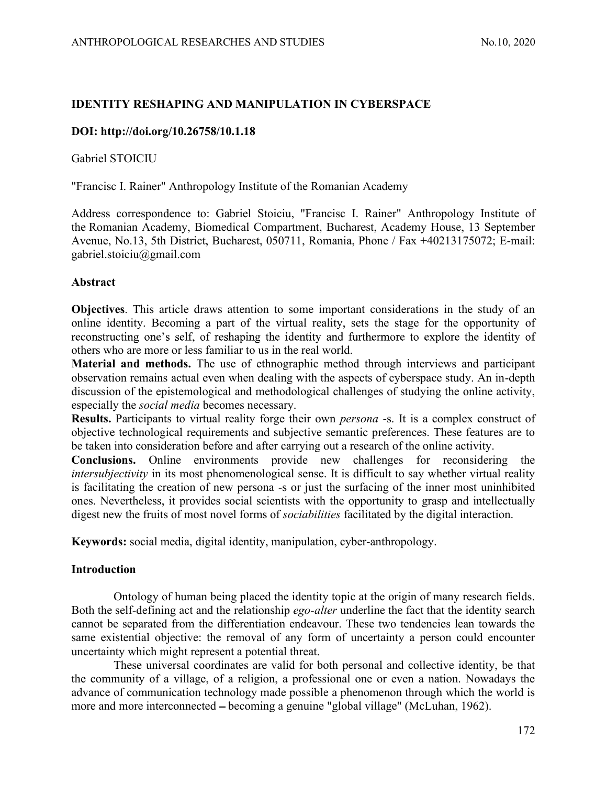# ANTHROPOLOGICAL RESEARCHES AND STUDIES No.10, 2020<br>
IDENTITY RESHAPING AND MANIPULATION IN CYBERSPACE IDENTITY RESHAPING AND MANIPULATION IN CYBERSPACE

## DOI: http://doi.org/10.26758/10.1.18

Gabriel STOICIU

"Francisc I. Rainer" Anthropology Institute of the Romanian Academy

Address correspondence to: Gabriel Stoiciu, "Francisc I. Rainer" Anthropology Institute of the Romanian Academy, Biomedical Compartment, Bucharest, Academy House, 13 September Avenue, No.13, 5th District, Bucharest, 050711, Romania, Phone / Fax +40213175072; E-mail: gabriel.stoiciu@gmail.com

### Abstract

Objectives. This article draws attention to some important considerations in the study of an online identity. Becoming a part of the virtual reality, sets the stage for the opportunity of reconstructing one's self, of reshaping the identity and furthermore to explore the identity of others who are more or less familiar to us in the real world.

Material and methods. The use of ethnographic method through interviews and participant observation remains actual even when dealing with the aspects of cyberspace study. An in-depth discussion of the epistemological and methodological challenges of studying the online activity, especially the social media becomes necessary.

Results. Participants to virtual reality forge their own *persona* -s. It is a complex construct of objective technological requirements and subjective semantic preferences. These features are to be taken into consideration before and after carrying out a research of the online activity.

Conclusions. Online environments provide new challenges for reconsidering the intersubjectivity in its most phenomenological sense. It is difficult to say whether virtual reality is facilitating the creation of new persona -s or just the surfacing of the inner most uninhibited ones. Nevertheless, it provides social scientists with the opportunity to grasp and intellectually digest new the fruits of most novel forms of sociabilities facilitated by the digital interaction.

Keywords: social media, digital identity, manipulation, cyber-anthropology.

## Introduction

Ontology of human being placed the identity topic at the origin of many research fields. Both the self-defining act and the relationship *ego-alter* underline the fact that the identity search cannot be separated from the differentiation endeavour. These two tendencies lean towards the same existential objective: the removal of any form of uncertainty a person could encounter uncertainty which might represent a potential threat.

These universal coordinates are valid for both personal and collective identity, be that the community of a village, of a religion, a professional one or even a nation. Nowadays the advance of communication technology made possible a phenomenon through which the world is more and more interconnected – becoming a genuine "global village" (McLuhan, 1962).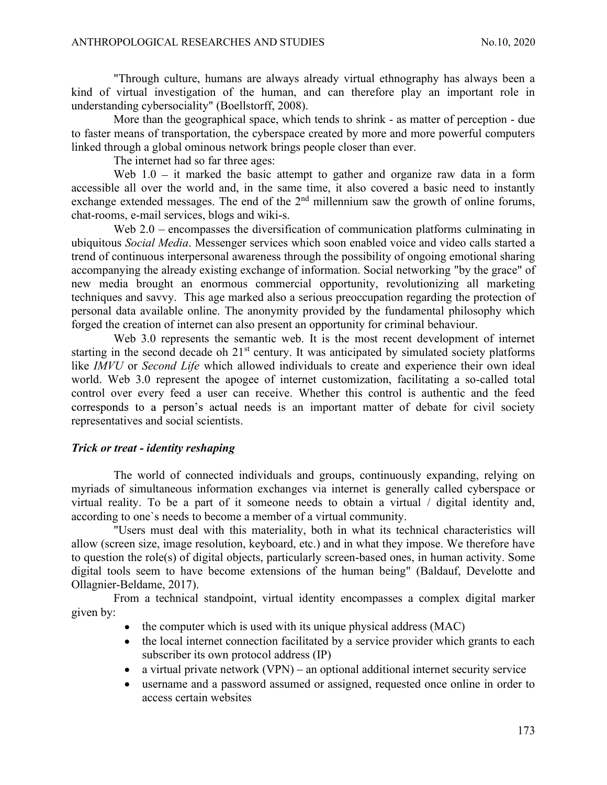ANTHROPOLOGICAL RESEARCHES AND STUDIES<br>
"Through culture, humans are always already virtual ethnography has always been a<br>
kind of virtual investigation of the human, and can therefore play an important role in<br>
understand "Through culture, humans are always already virtual ethnography has always been a kind of virtual investigation of the human, and can therefore play an important role in understanding cybersociality" (Boellstorff, 2008).

More than the geographical space, which tends to shrink - as matter of perception - due to faster means of transportation, the cyberspace created by more and more powerful computers linked through a global ominous network brings people closer than ever.

The internet had so far three ages:

Web  $1.0 -$  it marked the basic attempt to gather and organize raw data in a form accessible all over the world and, in the same time, it also covered a basic need to instantly exchange extended messages. The end of the  $2<sup>nd</sup>$  millennium saw the growth of online forums. chat-rooms, e-mail services, blogs and wiki-s.

Web 2.0 – encompasses the diversification of communication platforms culminating in ubiquitous Social Media. Messenger services which soon enabled voice and video calls started a trend of continuous interpersonal awareness through the possibility of ongoing emotional sharing accompanying the already existing exchange of information. Social networking "by the grace" of new media brought an enormous commercial opportunity, revolutionizing all marketing techniques and savvy. This age marked also a serious preoccupation regarding the protection of personal data available online. The anonymity provided by the fundamental philosophy which forged the creation of internet can also present an opportunity for criminal behaviour.

Web 3.0 represents the semantic web. It is the most recent development of internet starting in the second decade oh  $21<sup>st</sup>$  century. It was anticipated by simulated society platforms like IMVU or Second Life which allowed individuals to create and experience their own ideal world. Web 3.0 represent the apogee of internet customization, facilitating a so-called total control over every feed a user can receive. Whether this control is authentic and the feed corresponds to a person's actual needs is an important matter of debate for civil society representatives and social scientists.

## Trick or treat - identity reshaping

The world of connected individuals and groups, continuously expanding, relying on myriads of simultaneous information exchanges via internet is generally called cyberspace or virtual reality. To be a part of it someone needs to obtain a virtual / digital identity and, according to one`s needs to become a member of a virtual community.

"Users must deal with this materiality, both in what its technical characteristics will allow (screen size, image resolution, keyboard, etc.) and in what they impose. We therefore have to question the role(s) of digital objects, particularly screen-based ones, in human activity. Some digital tools seem to have become extensions of the human being" (Baldauf, Develotte and Ollagnier-Beldame, 2017).

From a technical standpoint, virtual identity encompasses a complex digital marker given by:

- $\bullet$  the computer which is used with its unique physical address (MAC)
- the local internet connection facilitated by a service provider which grants to each subscriber its own protocol address (IP)
- $\bullet$  a virtual private network (VPN) an optional additional internet security service
- username and a password assumed or assigned, requested once online in order to access certain websites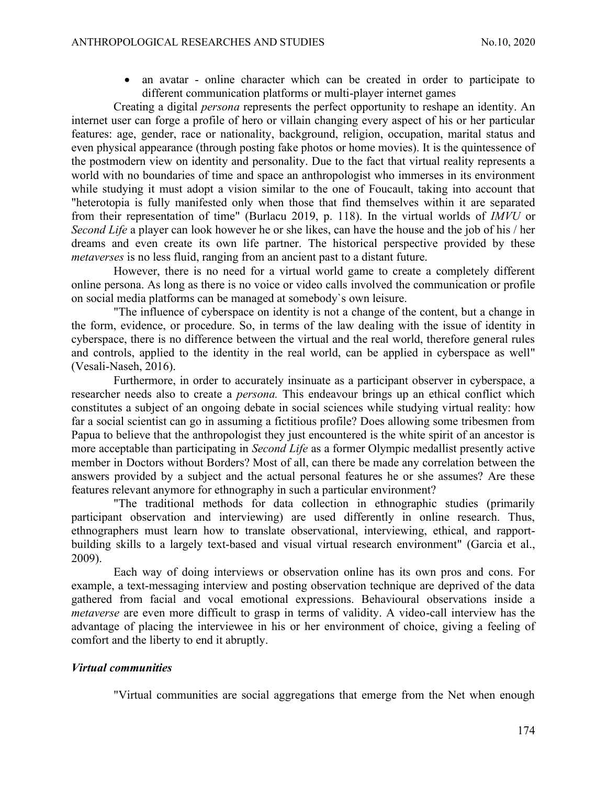ANTHROPOLOGICAL RESEARCHES AND STUDIES<br>
• an avatar - online character which can be created in order to participate to<br>
different communication platforms or multi-player internet games<br>
Creating a digital *nersong* represe an avatar - online character which can be created in order to participate to different communication platforms or multi-player internet games

Creating a digital persona represents the perfect opportunity to reshape an identity. An internet user can forge a profile of hero or villain changing every aspect of his or her particular features: age, gender, race or nationality, background, religion, occupation, marital status and even physical appearance (through posting fake photos or home movies). It is the quintessence of the postmodern view on identity and personality. Due to the fact that virtual reality represents a world with no boundaries of time and space an anthropologist who immerses in its environment while studying it must adopt a vision similar to the one of Foucault, taking into account that "heterotopia is fully manifested only when those that find themselves within it are separated from their representation of time" (Burlacu 2019, p. 118). In the virtual worlds of IMVU or Second Life a player can look however he or she likes, can have the house and the job of his / her dreams and even create its own life partner. The historical perspective provided by these metaverses is no less fluid, ranging from an ancient past to a distant future.

However, there is no need for a virtual world game to create a completely different online persona. As long as there is no voice or video calls involved the communication or profile on social media platforms can be managed at somebody`s own leisure.

"The influence of cyberspace on identity is not a change of the content, but a change in the form, evidence, or procedure. So, in terms of the law dealing with the issue of identity in cyberspace, there is no difference between the virtual and the real world, therefore general rules and controls, applied to the identity in the real world, can be applied in cyberspace as well" (Vesali-Naseh, 2016).

Furthermore, in order to accurately insinuate as a participant observer in cyberspace, a researcher needs also to create a *persona*. This endeavour brings up an ethical conflict which constitutes a subject of an ongoing debate in social sciences while studying virtual reality: how far a social scientist can go in assuming a fictitious profile? Does allowing some tribesmen from Papua to believe that the anthropologist they just encountered is the white spirit of an ancestor is more acceptable than participating in *Second Life* as a former Olympic medallist presently active member in Doctors without Borders? Most of all, can there be made any correlation between the answers provided by a subject and the actual personal features he or she assumes? Are these features relevant anymore for ethnography in such a particular environment?

"The traditional methods for data collection in ethnographic studies (primarily participant observation and interviewing) are used differently in online research. Thus, ethnographers must learn how to translate observational, interviewing, ethical, and rapportbuilding skills to a largely text-based and visual virtual research environment" (Garcia et al., 2009).

Each way of doing interviews or observation online has its own pros and cons. For example, a text-messaging interview and posting observation technique are deprived of the data gathered from facial and vocal emotional expressions. Behavioural observations inside a metaverse are even more difficult to grasp in terms of validity. A video-call interview has the advantage of placing the interviewee in his or her environment of choice, giving a feeling of comfort and the liberty to end it abruptly.

## Virtual communities

"Virtual communities are social aggregations that emerge from the Net when enough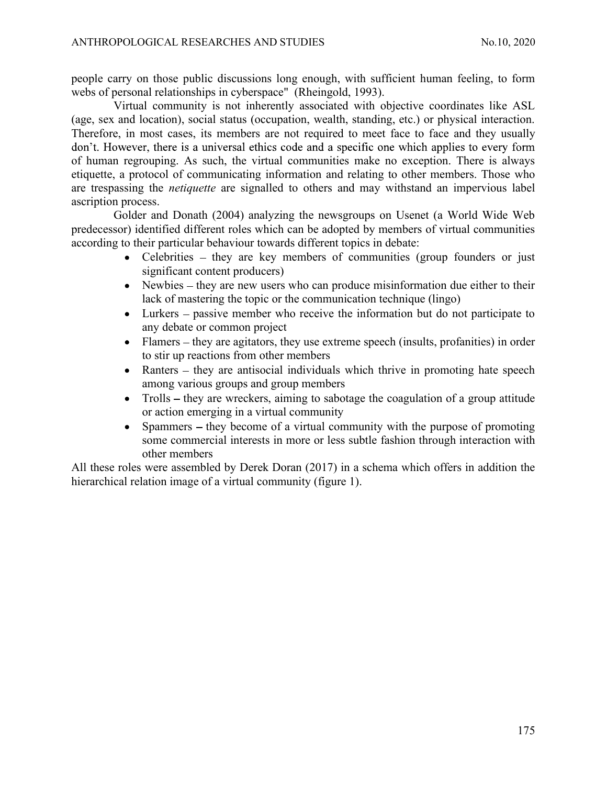ANTHROPOLOGICAL RESEARCHES AND STUDIES<br>
people carry on those public discussions long enough, with sufficient human feeling, to form<br>
webs of personal relationships in cyberspace" (Rheingold, 1993).<br>
Virtual community is n people carry on those public discussions long enough, with sufficient human feeling, to form webs of personal relationships in cyberspace" (Rheingold, 1993).

Virtual community is not inherently associated with objective coordinates like ASL (age, sex and location), social status (occupation, wealth, standing, etc.) or physical interaction. Therefore, in most cases, its members are not required to meet face to face and they usually don't. However, there is a universal ethics code and a specific one which applies to every form of human regrouping. As such, the virtual communities make no exception. There is always etiquette, a protocol of communicating information and relating to other members. Those who are trespassing the netiquette are signalled to others and may withstand an impervious label ascription process.

Golder and Donath (2004) analyzing the newsgroups on Usenet (a World Wide Web predecessor) identified different roles which can be adopted by members of virtual communities according to their particular behaviour towards different topics in debate:

- Celebrities they are key members of communities (group founders or just significant content producers)
- $\bullet$  Newbies they are new users who can produce misinformation due either to their lack of mastering the topic or the communication technique (lingo)
- Lurkers passive member who receive the information but do not participate to any debate or common project
- $\bullet$  Flamers they are agitators, they use extreme speech (insults, profanities) in order to stir up reactions from other members
- Ranters  $-$  they are antisocial individuals which thrive in promoting hate speech among various groups and group members
- Trolls  $-$  they are wreckers, aiming to sabotage the coagulation of a group attitude or action emerging in a virtual community
- Spammers  $-$  they become of a virtual community with the purpose of promoting  $\bullet$ some commercial interests in more or less subtle fashion through interaction with other members

All these roles were assembled by Derek Doran (2017) in a schema which offers in addition the hierarchical relation image of a virtual community (figure 1).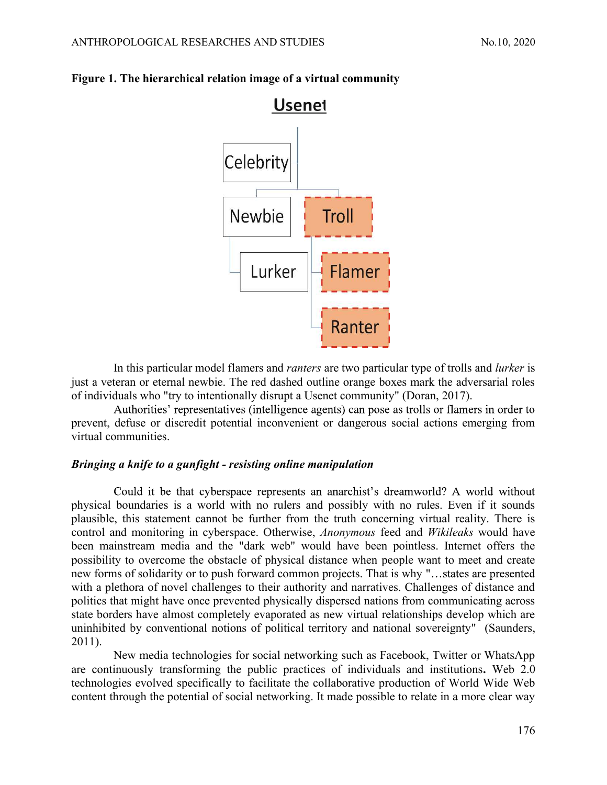

# ANTHROPOLOGICAL RESEARCHES AND STUDIES<br>
Figure 1. The hierarchical relation image of a virtual community<br>
Usenet Figure 1. The hierarchical relation image of a virtual community

In this particular model flamers and *ranters* are two particular type of trolls and *lurker* is just a veteran or eternal newbie. The red dashed outline orange boxes mark the adversarial roles of individuals who "try to intentionally disrupt a Usenet community" (Doran, 2017).

Authorities' representatives (intelligence agents) can pose as trolls or flamers in order to prevent, defuse or discredit potential inconvenient or dangerous social actions emerging from virtual communities.

### Bringing a knife to a gunfight - resisting online manipulation

Could it be that cyberspace represents an anarchist's dreamworld? A world without physical boundaries is a world with no rulers and possibly with no rules. Even if it sounds plausible, this statement cannot be further from the truth concerning virtual reality. There is control and monitoring in cyberspace. Otherwise, Anonymous feed and Wikileaks would have been mainstream media and the "dark web" would have been pointless. Internet offers the possibility to overcome the obstacle of physical distance when people want to meet and create new forms of solidarity or to push forward common projects. That is why " with a plethora of novel challenges to their authority and narratives. Challenges of distance and politics that might have once prevented physically dispersed nations from communicating across state borders have almost completely evaporated as new virtual relationships develop which are uninhibited by conventional notions of political territory and national sovereignty" (Saunders, 2011).

New media technologies for social networking such as Facebook, Twitter or WhatsApp are continuously transforming the public practices of individuals and institutions. Web 2.0 technologies evolved specifically to facilitate the collaborative production of World Wide Web content through the potential of social networking. It made possible to relate in a more clear way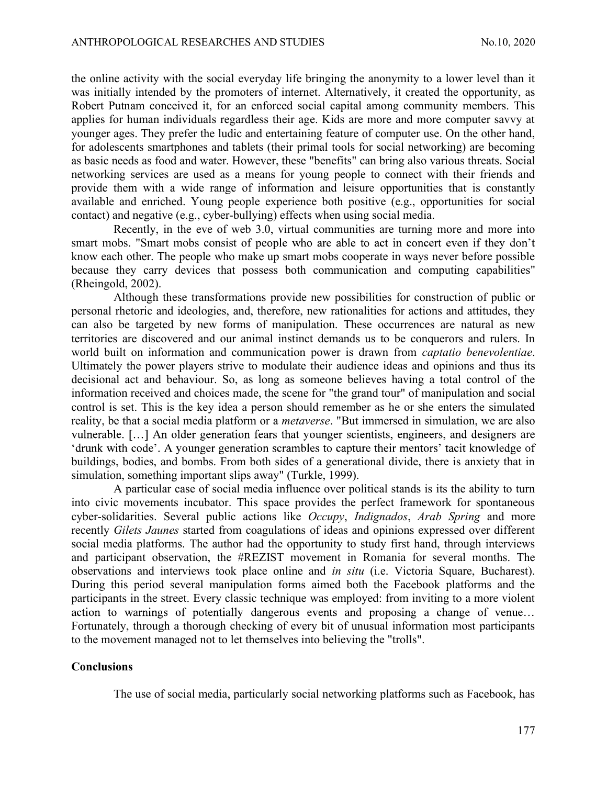ANTHROPOLOGICAL RESEARCHES AND STUDIES<br>
the online activity with the social everyday life bringing the anonymity to a lower level than it<br>
was initially intended by the promoters of internet. Alternatively, it created the the online activity with the social everyday life bringing the anonymity to a lower level than it was initially intended by the promoters of internet. Alternatively, it created the opportunity, as Robert Putnam conceived it, for an enforced social capital among community members. This applies for human individuals regardless their age. Kids are more and more computer savvy at younger ages. They prefer the ludic and entertaining feature of computer use. On the other hand, for adolescents smartphones and tablets (their primal tools for social networking) are becoming as basic needs as food and water. However, these "benefits" can bring also various threats. Social networking services are used as a means for young people to connect with their friends and provide them with a wide range of information and leisure opportunities that is constantly available and enriched. Young people experience both positive (e.g., opportunities for social contact) and negative (e.g., cyber-bullying) effects when using social media.

Recently, in the eve of web 3.0, virtual communities are turning more and more into smart mobs. "Smart mobs consist of people who are able to act in concert even if they don't know each other. The people who make up smart mobs cooperate in ways never before possible because they carry devices that possess both communication and computing capabilities" (Rheingold, 2002).

Although these transformations provide new possibilities for construction of public or personal rhetoric and ideologies, and, therefore, new rationalities for actions and attitudes, they can also be targeted by new forms of manipulation. These occurrences are natural as new territories are discovered and our animal instinct demands us to be conquerors and rulers. In world built on information and communication power is drawn from *captatio benevolentiae*. Ultimately the power players strive to modulate their audience ideas and opinions and thus its decisional act and behaviour. So, as long as someone believes having a total control of the information received and choices made, the scene for "the grand tour" of manipulation and social control is set. This is the key idea a person should remember as he or she enters the simulated reality, be that a social media platform or a metaverse. "But immersed in simulation, we are also vulnerable. [...] An older generation fears that younger scientists, engineers, and designers are 'drunk with code'. A younger generation scrambles to capture their mentors' tacit knowledge of buildings, bodies, and bombs. From both sides of a generational divide, there is anxiety that in simulation, something important slips away" (Turkle, 1999).

A particular case of social media influence over political stands is its the ability to turn into civic movements incubator. This space provides the perfect framework for spontaneous cyber-solidarities. Several public actions like Occupy, Indignados, Arab Spring and more recently Gilets Jaunes started from coagulations of ideas and opinions expressed over different social media platforms. The author had the opportunity to study first hand, through interviews and participant observation, the #REZIST movement in Romania for several months. The observations and interviews took place online and in situ (i.e. Victoria Square, Bucharest). During this period several manipulation forms aimed both the Facebook platforms and the participants in the street. Every classic technique was employed: from inviting to a more violent action to warnings of potentially dangerous events and proposing a change of venue... Fortunately, through a thorough checking of every bit of unusual information most participants to the movement managed not to let themselves into believing the "trolls".

### Conclusions

The use of social media, particularly social networking platforms such as Facebook, has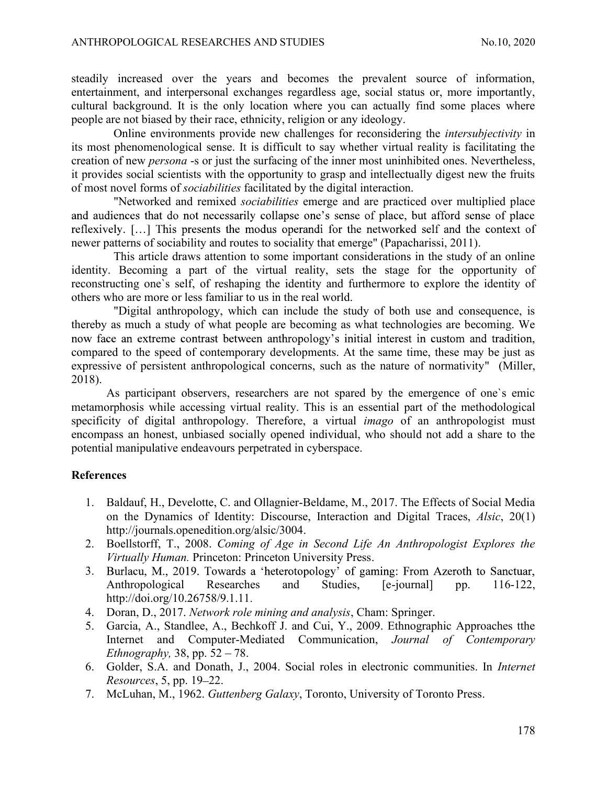ANTHROPOLOGICAL RESEARCHES AND STUDIES<br>steadily increased over the years and becomes the prevalent source of information,<br>entertainment, and interpersonal exchanges regardless age, social status or, more importantly,<br>cultu steadily increased over the years and becomes the prevalent source of information, entertainment, and interpersonal exchanges regardless age, social status or, more importantly, cultural background. It is the only location where you can actually find some places where people are not biased by their race, ethnicity, religion or any ideology.

Online environments provide new challenges for reconsidering the intersubjectivity in its most phenomenological sense. It is difficult to say whether virtual reality is facilitating the creation of new persona -s or just the surfacing of the inner most uninhibited ones. Nevertheless, it provides social scientists with the opportunity to grasp and intellectually digest new the fruits of most novel forms of sociabilities facilitated by the digital interaction.

"Networked and remixed sociabilities emerge and are practiced over multiplied place and audiences that do not necessarily collapse one's sense of place, but afford sense of place reflexively. [...] This presents the modus operandi for the networked self and the context of newer patterns of sociability and routes to sociality that emerge" (Papacharissi, 2011).

This article draws attention to some important considerations in the study of an online identity. Becoming a part of the virtual reality, sets the stage for the opportunity of reconstructing one`s self, of reshaping the identity and furthermore to explore the identity of others who are more or less familiar to us in the real world.

"Digital anthropology, which can include the study of both use and consequence, is thereby as much a study of what people are becoming as what technologies are becoming. We now face an extreme contrast between anthropology's initial interest in custom and tradition, compared to the speed of contemporary developments. At the same time, these may be just as expressive of persistent anthropological concerns, such as the nature of normativity" (Miller, 2018).

As participant observers, researchers are not spared by the emergence of one`s emic metamorphosis while accessing virtual reality. This is an essential part of the methodological specificity of digital anthropology. Therefore, a virtual *imago* of an anthropologist must encompass an honest, unbiased socially opened individual, who should not add a share to the potential manipulative endeavours perpetrated in cyberspace.

## References

- 1. Baldauf, H., Develotte, C. and Ollagnier-Beldame, M., 2017. The Effects of Social Media on the Dynamics of Identity: Discourse, Interaction and Digital Traces, Alsic, 20(1) http://journals.openedition.org/alsic/3004.
- 2. Boellstorff, T., 2008. Coming of Age in Second Life An Anthropologist Explores the Virtually Human. Princeton: Princeton University Press.
- 3. Burlacu, M., 2019. Towards a 'heterotopology' of gaming: From Azeroth to Sanctuar, Anthropological Researches and Studies, [e-journal] pp. 116-122, http://doi.org/10.26758/9.1.11.<br>4. Doran, D., 2017. Network role mining and analysis, Cham: Springer.
- 
- 5. Garcia, A., Standlee, A., Bechkoff J. and Cui, Y., 2009. Ethnographic Approaches tthe Internet and Computer-Mediated Communication, Journal of Contemporary Ethnography, 38, pp.  $52 - 78$ .
- 6. Golder, S.A. and Donath, J., 2004. Social roles in electronic communities. In Internet  $Resources, 5, pp. 19-22.$
- 7. McLuhan, M., 1962. Guttenberg Galaxy, Toronto, University of Toronto Press.